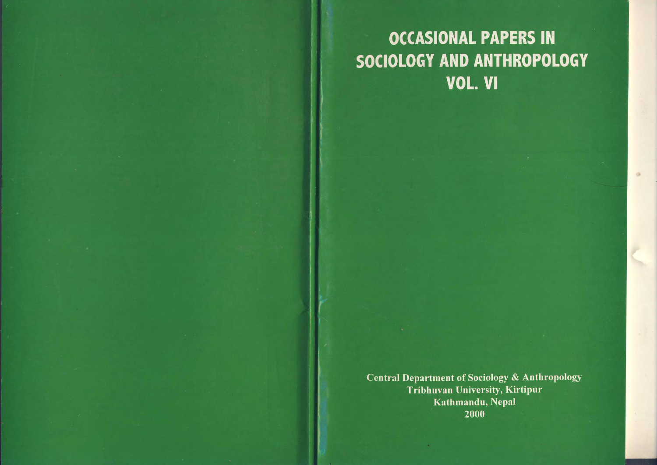# **OCCASIONAL PAPERS IN** SOCIOLOGY AND ANTHROPOLOGY VOL. VI

**Central Department of Sociology & Anthropology** Tribhuvan University, Kirtipur Kathmandu, Nepal 2000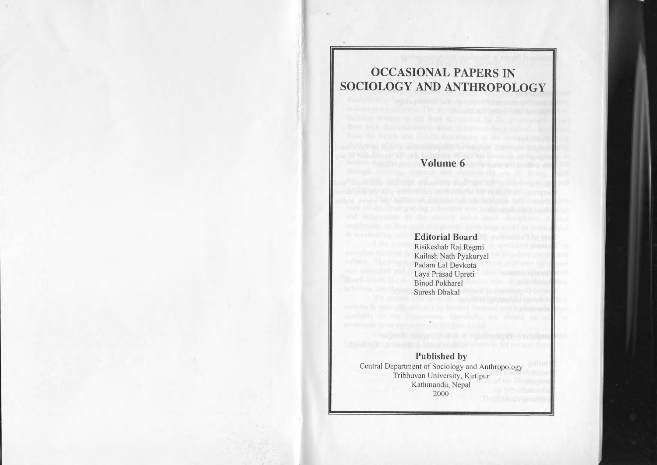## **OCCASIONAL PAPERS IN SOCIOLOGY AND ANTHROPOLOGY**

#### **Volume 6**

**Editorial Board** Risikeshab Raj Regmi Kailash Nath Pyakuryal Padam Lal Devkota

Laya Prasad Upreti Binod Pokharel Suresh Dhakal

### **Published by**

Central Department of Sociology and Anthropology **Tribhuvan University, Kirtipur** Kathmandu, Nepal 2000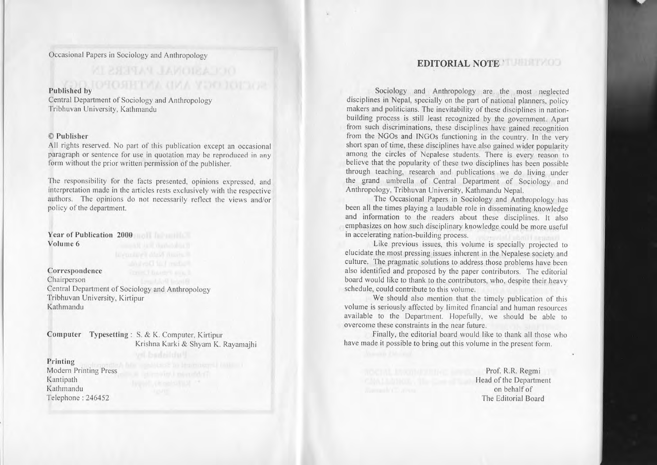**Occasional Papers in Sociology and Anthropology**

## Published by COSTETTING COMPANY TO THE TELEVISION

Central Department of Sociology and Anthropology **Tribhuvan University, Kathmandu**

#### © Publisher

**All rights reserved. <sup>0</sup> pan of this publication except an occasional paragraph or sentence for use in quotation may be reproduced in any form without the prior written permission** ofthe **publisher.**

**The responsibility for the facts presented. opinions expressed. and interpretation made in the articles rests exclusively with the respective authors. The opinions do not necessarily reflect the views and/or pol icy of the department.**

Year of Publication 2000 Volume 6

**Correspondence Chairperson Central Department of Sociology and Anthropology Tribhuvan University**, **Kirtipur** Kathmandu

Computer Typesetting: S. & K. Computer, Kirtipur **Krishna Karki & Shyam K. Rayamajhi**

**Printing**

**Modern Printing Press Kantipath** Kathmandu Telephone: 246452

### **EDITORIAL** NOTE

Sociology and Anthropology are the most neglected **disciplines in Nepal, specially on the pari of national planners. policy** makers and politicians. The inevitability of these disciplines in nation**building process is still least recognized by the government. Apart from such discriminations, these disciplines have gained recognition** from the NGOs and INGOs functioning in the country. In the very **short span** of time, **these disciplines have also gained wider popularity among the circles of Nepalese students. There is every reason to** believe that the popularity of these two disciplines has been possible **through teaching, research and publications we do living under the grand umbrella of Central Department of Sociology and** Anthropology, Tribhuvan University, Kathmandu Nepal.

**The Occasional Papers in Sociology and Anthropology has been all the times playing <sup>a</sup> laudable role in disseminating knowledge and information to the readers about these disciplines. It also emphasizes on how such disciplinary knowledge could be more useful in accelerating nation-building process.**

**Like previous issues, this volume is specially projected to elucidate the most pressing issues inherent in the Nepalese society and culture. The pragmatic solutions to address those problems have been** also identified and proposed by the paper contributors. The editorial board would like to thank to the contributors, who, despite their heavy **schedule, could contribute to this volume.**

**We should also mention that the timely publication of this volume is seriously affected by limited financial and human resources** available to the Department. Hopefully. we should be able to **overcome these constraints in the near future.**

Finally, the editorial board would like to thank all those who **have made it possible to bring out this volume in the present form.**

> Prof. R.R. Regmi Head of the Department on behalf of The Editorial Board